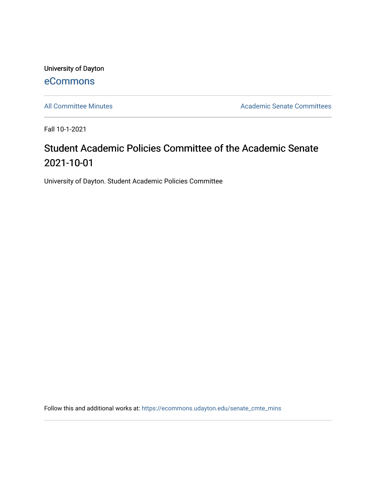University of Dayton [eCommons](https://ecommons.udayton.edu/)

[All Committee Minutes](https://ecommons.udayton.edu/senate_cmte_mins) **Academic Senate Committees** 

Fall 10-1-2021

## Student Academic Policies Committee of the Academic Senate 2021-10-01

University of Dayton. Student Academic Policies Committee

Follow this and additional works at: [https://ecommons.udayton.edu/senate\\_cmte\\_mins](https://ecommons.udayton.edu/senate_cmte_mins?utm_source=ecommons.udayton.edu%2Fsenate_cmte_mins%2F479&utm_medium=PDF&utm_campaign=PDFCoverPages)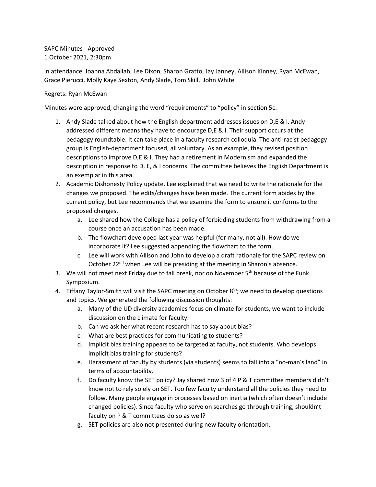SAPC Minutes - Approved 1 October 2021, 2:30pm

In attendance Joanna Abdallah, Lee Dixon, Sharon Gratto, Jay Janney, Allison Kinney, Ryan McEwan, Grace Pierucci, Molly Kaye Sexton, Andy Slade, Tom Skill, John White

## Regrets: Ryan McEwan

Minutes were approved, changing the word "requirements" to "policy" in section 5c.

- 1. Andy Slade talked about how the English department addresses issues on D,E & I. Andy addressed different means they have to encourage D,E & I. Their support occurs at the pedagogy roundtable. It can take place in a faculty research colloquia. The anti-racist pedagogy group is English-department focused, all voluntary. As an example, they revised position descriptions to improve D,E & I. They had a retirement in Modernism and expanded the description in response to D, E, & I concerns. The committee believes the English Department is an exemplar in this area.
- 2. Academic Dishonesty Policy update. Lee explained that we need to write the rationale for the changes we proposed. The edits/changes have been made. The current form abides by the current policy, but Lee recommends that we examine the form to ensure it conforms to the proposed changes.
	- a. Lee shared how the College has a policy of forbidding students from withdrawing from a course once an accusation has been made.
	- b. The flowchart developed last year was helpful (for many, not all). How do we incorporate it? Lee suggested appending the flowchart to the form.
	- c. Lee will work with Allison and John to develop a draft rationale for the SAPC review on October 22<sup>nd</sup> when Lee will be presiding at the meeting in Sharon's absence.
- 3. We will not meet next Friday due to fall break, nor on November  $5<sup>th</sup>$  because of the Funk Symposium.
- 4. Tiffany Taylor-Smith will visit the SAPC meeting on October  $8<sup>th</sup>$ ; we need to develop questions and topics. We generated the following discussion thoughts:
	- a. Many of the UD diversity academies focus on climate for students, we want to include discussion on the climate for faculty.
	- b. Can we ask her what recent research has to say about bias?
	- c. What are best practices for communicating to students?
	- d. Implicit bias training appears to be targeted at faculty, not students. Who develops implicit bias training for students?
	- e. Harassment of faculty by students (via students) seems to fall into a "no-man's land" in terms of accountability.
	- f. Do faculty know the SET policy? Jay shared how 3 of 4 P & T committee members didn't know not to rely solely on SET. Too few faculty understand all the policies they need to follow. Many people engage in processes based on inertia (which often doesn't include changed policies). Since faculty who serve on searches go through training, shouldn't faculty on P & T committees do so as well?
	- g. SET policies are also not presented during new faculty orientation.